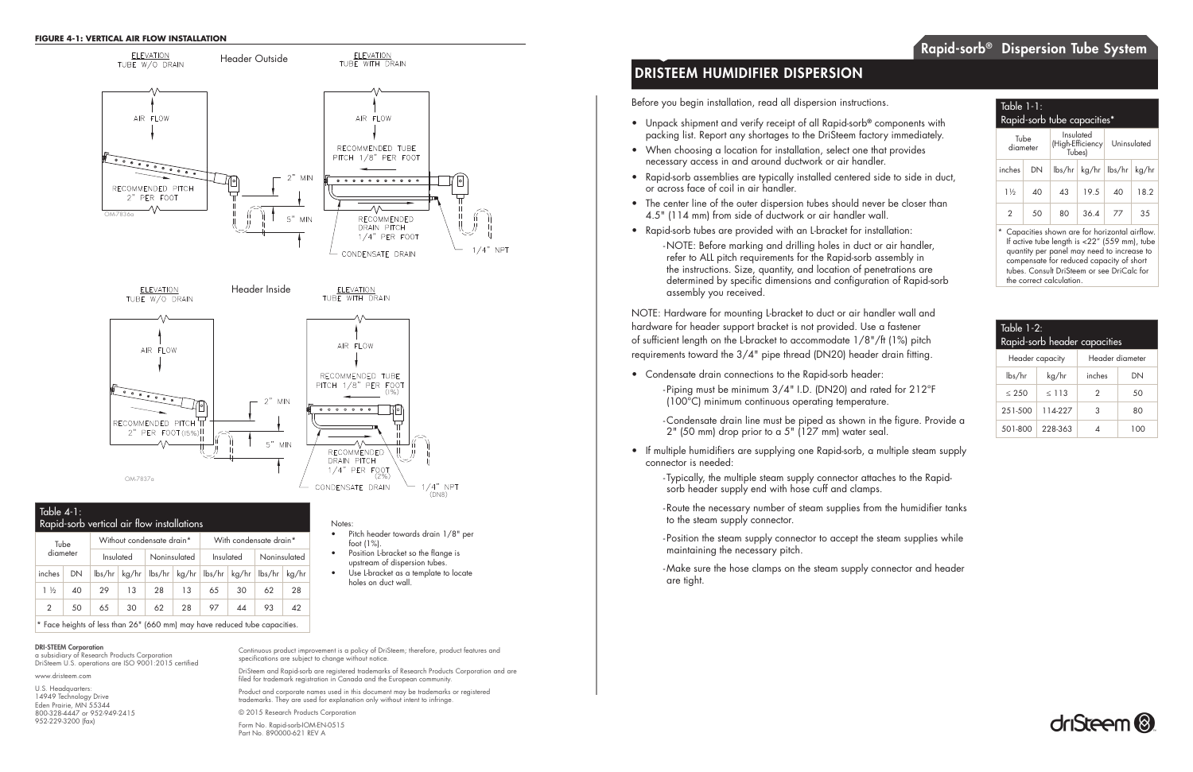- 
- 

# DRISTEEM HUMIDIFIER DISPERSION

#### DRI-STEEM Corporation

a subsidiary of Research Products Corporation DriSteem U.S. operations are ISO 9001:2015 certified

www.dristeem.com

U.S. Headquarters: 14949 Technology Drive Eden Prairie, MN 55344 800-328-4447 or 952-949-2415 952-229-3200 (fax)

Continuous product improvement is a policy of DriSteem; therefore, product features and specifications are subject to change without notice.

DriSteem and Rapid-sorb are registered trademarks of Research Products Corporation and are filed for trademark registration in Canada and the European community.

Product and corporate names used in this document may be trademarks or registered trademarks. They are used for explanation only without intent to infringe.

© 2015 Research Products Corporation Form No. Rapid-sorb-IOM-EN-0515 Part No. 890000-621 REV A

Before you begin installation, read all dispersion instructions.

- Unpack shipment and verify receipt of all Rapid-sorb<sup>®</sup> components with packing list. Report any shortages to the DriSteem factory immediately.
- When choosing a location for installation, select one that provides necessary access in and around ductwork or air handler.
- Rapid-sorb assemblies are typically installed centered side to side in duct, or across face of coil in air handler.
- The center line of the outer dispersion tubes should never be closer than 4.5" (114 mm) from side of ductwork or air handler wall.
- Rapid-sorb tubes are provided with an L-bracket for installation:
	- NOTE: Before marking and drilling holes in duct or air handler, refer to ALL pitch requirements for the Rapid-sorb assembly in the instructions. Size, quantity, and location of penetrations are determined by specific dimensions and configuration of Rapid-sorb assembly you received.

Capacities shown are for horizontal airflow. If active tube length is <22" (559 mm), tube quantity per panel may need to increase to compensate for reduced capacity of short tubes. Consult DriSteem or see DriCalc for the correct calculation.

## $\overline{\phantom{a}}$  Table 4-1: Rapid-sorb vertical air flow installations

NOTE: Hardware for mounting L-bracket to duct or air handler wall and hardware for header support bracket is not provided. Use a fastener of sufficient length on the L-bracket to accommodate 1/8"/ft (1%) pitch requirements toward the 3/4" pipe thread (DN20) header drain fitting.

- Condensate drain connections to the Rapid-sorb header: - Piping must be minimum 3/4" I.D. (DN20) and rated for 212°F (100°C) minimum continuous operating temperature.
	- Condensate drain line must be piped as shown in the figure. Provide a  $2"$  (50 mm) drop prior to a 5" (127 mm) water seal.
- If multiple humidifiers are supplying one Rapid-sorb, a multiple steam supply connector is needed:
	- Typically, the multiple steam supply connector attaches to the Rapidsorb header supply end with hose cuff and clamps.
	- Route the necessary number of steam supplies from the humidifier tanks to the steam supply connector.
	- Position the steam supply connector to accept the steam supplies while maintaining the necessary pitch.
	- Make sure the hose clamps on the steam supply connector and header are tight.

| Table $1-2$ :<br>Rapid-sorb header capacities |         |                 |     |  |
|-----------------------------------------------|---------|-----------------|-----|--|
| Header capacity                               |         | Header diameter |     |  |
| lbs/hr                                        | kg/hr   | inches          | DΝ  |  |
| $\leq 250$                                    | < 113   | 2               | 50  |  |
| 251-500                                       | 114-227 | 3               | 80  |  |
| 501-800                                       | 228-363 |                 | 100 |  |



### Table 1-1: Rapid-sorb tube capacities\*

| Tube<br>diameter |    | Insulated<br>Tubes) | (High-Efficiency               | Uninsulated |       |  |
|------------------|----|---------------------|--------------------------------|-------------|-------|--|
| inches           | DN |                     | $\frac{1}{s}$   kg/hr   lbs/hr |             | kg/hr |  |
| $1\frac{1}{2}$   | 40 | 43                  | 19.5                           | 40          | 18.2  |  |
|                  | 50 | 80                  | 36.4                           | 77          | 35    |  |

| Tube           |    | Without condensate drain* |    |              | With condensate drain* |                                 |    |                                  |       |
|----------------|----|---------------------------|----|--------------|------------------------|---------------------------------|----|----------------------------------|-------|
| diameter       |    | Insulated                 |    | Noninsulated |                        | Insulated                       |    | Noninsulated                     |       |
| inches         | DN | $\frac{1}{s}$             |    |              |                        | kg/hr   lbs/hr   kg/hr   lbs/hr |    | $\lfloor$ kg/hr $\lfloor$ lbs/hr | kg/hr |
| $1\frac{1}{2}$ | 40 | 29                        | 13 | 28           | 13                     | 65                              | 30 | 62                               | 28    |
| $\mathcal{P}$  | 50 | 65                        | 30 | 62           | 28                     | 97                              | 44 | 93                               | 42    |



\* Face heights of less than 26" (660 mm) may have reduced tube capacities.

Notes:

- Pitch header towards drain 1/8" per foot (1%).
- Position L-bracket so the flange is upstream of dispersion tubes.
- Use L-bracket as a template to locate holes on duct wall.